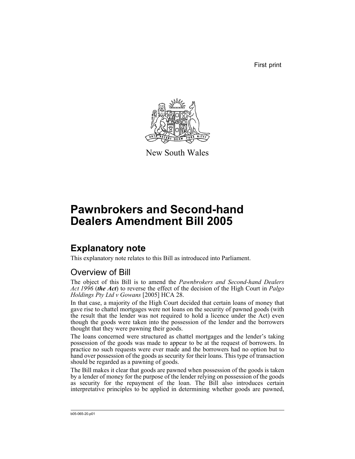First print



New South Wales

# **Pawnbrokers and Second-hand Dealers Amendment Bill 2005**

# **Explanatory note**

This explanatory note relates to this Bill as introduced into Parliament.

## Overview of Bill

The object of this Bill is to amend the *Pawnbrokers and Second-hand Dealers Act 1996* (*the Act*) to reverse the effect of the decision of the High Court in *Palgo Holdings Pty Ltd v Gowans* [2005] HCA 28.

In that case, a majority of the High Court decided that certain loans of money that gave rise to chattel mortgages were not loans on the security of pawned goods (with the result that the lender was not required to hold a licence under the Act) even though the goods were taken into the possession of the lender and the borrowers thought that they were pawning their goods.

The loans concerned were structured as chattel mortgages and the lender's taking possession of the goods was made to appear to be at the request of borrowers. In practice no such requests were ever made and the borrowers had no option but to hand over possession of the goods as security for their loans. This type of transaction should be regarded as a pawning of goods.

The Bill makes it clear that goods are pawned when possession of the goods is taken by a lender of money for the purpose of the lender relying on possession of the goods as security for the repayment of the loan. The Bill also introduces certain interpretative principles to be applied in determining whether goods are pawned,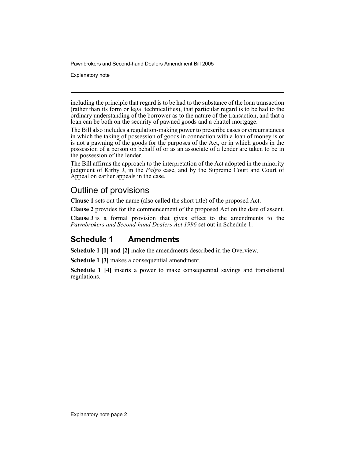Explanatory note

including the principle that regard is to be had to the substance of the loan transaction (rather than its form or legal technicalities), that particular regard is to be had to the ordinary understanding of the borrower as to the nature of the transaction, and that a loan can be both on the security of pawned goods and a chattel mortgage.

The Bill also includes a regulation-making power to prescribe cases or circumstances in which the taking of possession of goods in connection with a loan of money is or is not a pawning of the goods for the purposes of the Act, or in which goods in the possession of a person on behalf of or as an associate of a lender are taken to be in the possession of the lender.

The Bill affirms the approach to the interpretation of the Act adopted in the minority judgment of Kirby J, in the *Palgo* case, and by the Supreme Court and Court of Appeal on earlier appeals in the case.

#### Outline of provisions

**Clause 1** sets out the name (also called the short title) of the proposed Act.

**Clause 2** provides for the commencement of the proposed Act on the date of assent.

**Clause 3** is a formal provision that gives effect to the amendments to the *Pawnbrokers and Second-hand Dealers Act 1996* set out in Schedule 1.

### **Schedule 1 Amendments**

**Schedule 1 [1] and [2]** make the amendments described in the Overview.

**Schedule 1 [3]** makes a consequential amendment.

**Schedule 1 [4]** inserts a power to make consequential savings and transitional regulations.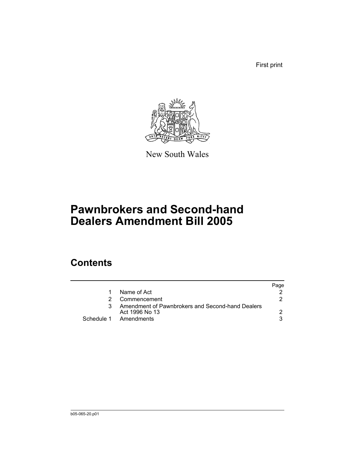First print



New South Wales

# **Pawnbrokers and Second-hand Dealers Amendment Bill 2005**

# **Contents**

|                                                                    | Page |
|--------------------------------------------------------------------|------|
| Name of Act                                                        |      |
| Commencement                                                       |      |
| Amendment of Pawnbrokers and Second-hand Dealers<br>Act 1996 No 13 |      |
| Schedule 1 Amendments                                              |      |
|                                                                    |      |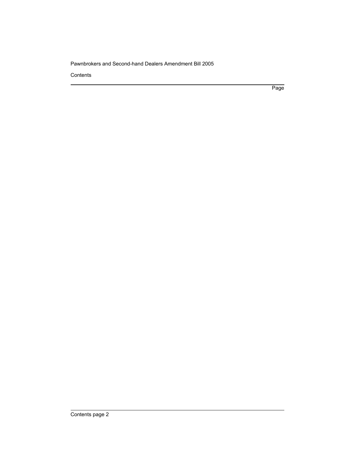**Contents** 

Page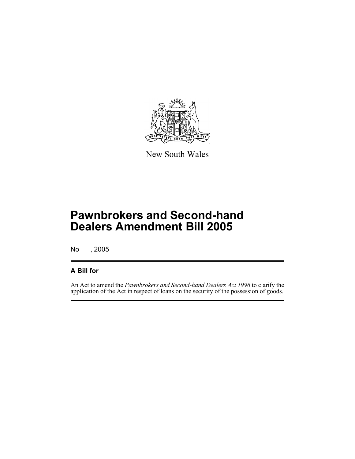

New South Wales

No , 2005

#### **A Bill for**

An Act to amend the *Pawnbrokers and Second-hand Dealers Act 1996* to clarify the application of the Act in respect of loans on the security of the possession of goods.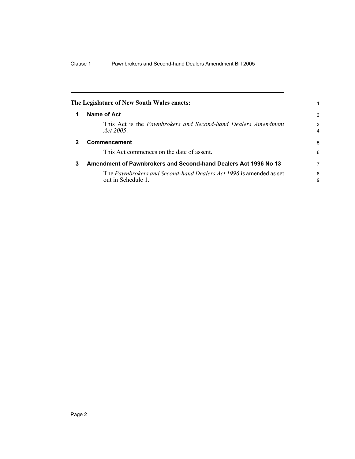<span id="page-5-1"></span><span id="page-5-0"></span>

|   | The Legislature of New South Wales enacts:                                              |                     |
|---|-----------------------------------------------------------------------------------------|---------------------|
| 1 | Name of Act                                                                             | $\mathcal{P}$       |
|   | This Act is the <i>Pawnbrokers and Second-hand Dealers Amendment</i><br>Act 2005        | 3<br>$\overline{4}$ |
|   | <b>Commencement</b>                                                                     | 5                   |
|   | This Act commences on the date of assent.                                               | 6                   |
| 3 | Amendment of Pawnbrokers and Second-hand Dealers Act 1996 No 13                         | 7                   |
|   | The Pawnbrokers and Second-hand Dealers Act 1996 is amended as set<br>out in Schedule 1 | 8<br>9              |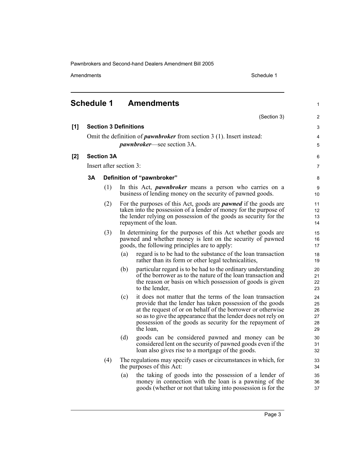Amendments Schedule 1

 $[1]$ 

**[2]** 

1

#### <span id="page-6-0"></span>**Schedule 1 Amendments**

|    |                            |                              | (Section 3)                                                                                                                                                                                                                                                                                                                     | 2                                 |  |  |
|----|----------------------------|------------------------------|---------------------------------------------------------------------------------------------------------------------------------------------------------------------------------------------------------------------------------------------------------------------------------------------------------------------------------|-----------------------------------|--|--|
|    |                            | <b>Section 3 Definitions</b> |                                                                                                                                                                                                                                                                                                                                 | 3                                 |  |  |
|    |                            |                              | Omit the definition of <i>pawnbroker</i> from section 3 (1). Insert instead:<br><i>pawnbroker</i> —see section 3A.                                                                                                                                                                                                              | 4<br>5                            |  |  |
|    | <b>Section 3A</b>          |                              |                                                                                                                                                                                                                                                                                                                                 |                                   |  |  |
|    |                            |                              |                                                                                                                                                                                                                                                                                                                                 | 6<br>$\overline{7}$               |  |  |
|    | Insert after section 3:    |                              |                                                                                                                                                                                                                                                                                                                                 |                                   |  |  |
| 3A | Definition of "pawnbroker" |                              |                                                                                                                                                                                                                                                                                                                                 |                                   |  |  |
|    | (1)                        |                              | In this Act, <i>pawnbroker</i> means a person who carries on a<br>business of lending money on the security of pawned goods.                                                                                                                                                                                                    |                                   |  |  |
|    | (2)                        |                              | For the purposes of this Act, goods are <i>pawned</i> if the goods are<br>taken into the possession of a lender of money for the purpose of<br>the lender relying on possession of the goods as security for the<br>repayment of the loan.                                                                                      | 11<br>12 <sup>2</sup><br>13<br>14 |  |  |
|    | (3)                        |                              | In determining for the purposes of this Act whether goods are<br>pawned and whether money is lent on the security of pawned<br>goods, the following principles are to apply:                                                                                                                                                    |                                   |  |  |
|    |                            | (a)                          | regard is to be had to the substance of the loan transaction<br>rather than its form or other legal technicalities,                                                                                                                                                                                                             | 18<br>19                          |  |  |
|    |                            | (b)                          | particular regard is to be had to the ordinary understanding<br>of the borrower as to the nature of the loan transaction and<br>the reason or basis on which possession of goods is given<br>to the lender,                                                                                                                     | 20<br>21<br>22<br>23              |  |  |
|    |                            | (c)                          | it does not matter that the terms of the loan transaction<br>provide that the lender has taken possession of the goods<br>at the request of or on behalf of the borrower or otherwise<br>so as to give the appearance that the lender does not rely on<br>possession of the goods as security for the repayment of<br>the loan, | 24<br>25<br>26<br>27<br>28<br>29  |  |  |
|    |                            | (d)                          | goods can be considered pawned and money can be<br>considered lent on the security of pawned goods even if the<br>loan also gives rise to a mortgage of the goods.                                                                                                                                                              | 30<br>31<br>32                    |  |  |
|    | (4)                        |                              | The regulations may specify cases or circumstances in which, for<br>the purposes of this Act:                                                                                                                                                                                                                                   | 33<br>34                          |  |  |
|    |                            | (a)                          | the taking of goods into the possession of a lender of<br>money in connection with the loan is a pawning of the<br>goods (whether or not that taking into possession is for the                                                                                                                                                 | 35<br>36<br>37                    |  |  |